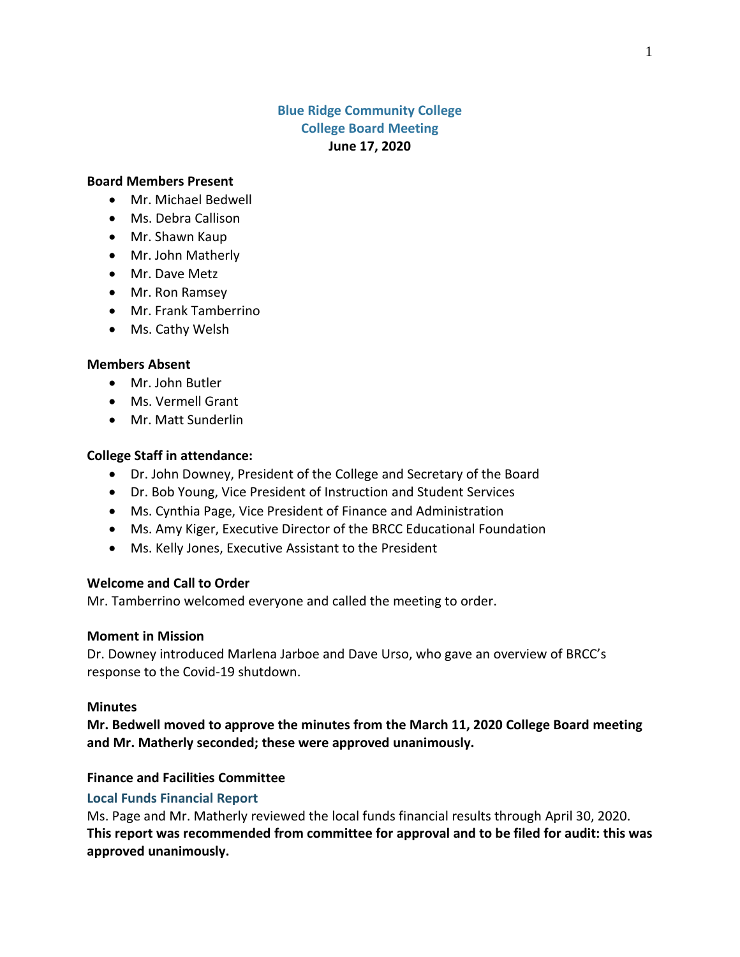# **Blue Ridge Community College College Board Meeting June 17, 2020**

#### **Board Members Present**

- Mr. Michael Bedwell
- Ms. Debra Callison
- Mr. Shawn Kaup
- Mr. John Matherly
- Mr. Dave Metz
- Mr. Ron Ramsey
- Mr. Frank Tamberrino
- Ms. Cathy Welsh

#### **Members Absent**

- Mr. John Butler
- Ms. Vermell Grant
- Mr. Matt Sunderlin

### **College Staff in attendance:**

- Dr. John Downey, President of the College and Secretary of the Board
- Dr. Bob Young, Vice President of Instruction and Student Services
- Ms. Cynthia Page, Vice President of Finance and Administration
- Ms. Amy Kiger, Executive Director of the BRCC Educational Foundation
- Ms. Kelly Jones, Executive Assistant to the President

### **Welcome and Call to Order**

Mr. Tamberrino welcomed everyone and called the meeting to order.

#### **Moment in Mission**

Dr. Downey introduced Marlena Jarboe and Dave Urso, who gave an overview of BRCC's response to the Covid-19 shutdown.

#### **Minutes**

**Mr. Bedwell moved to approve the minutes from the March 11, 2020 College Board meeting and Mr. Matherly seconded; these were approved unanimously.**

### **Finance and Facilities Committee**

### **Local Funds Financial Report**

Ms. Page and Mr. Matherly reviewed the local funds financial results through April 30, 2020. **This report was recommended from committee for approval and to be filed for audit: this was approved unanimously.**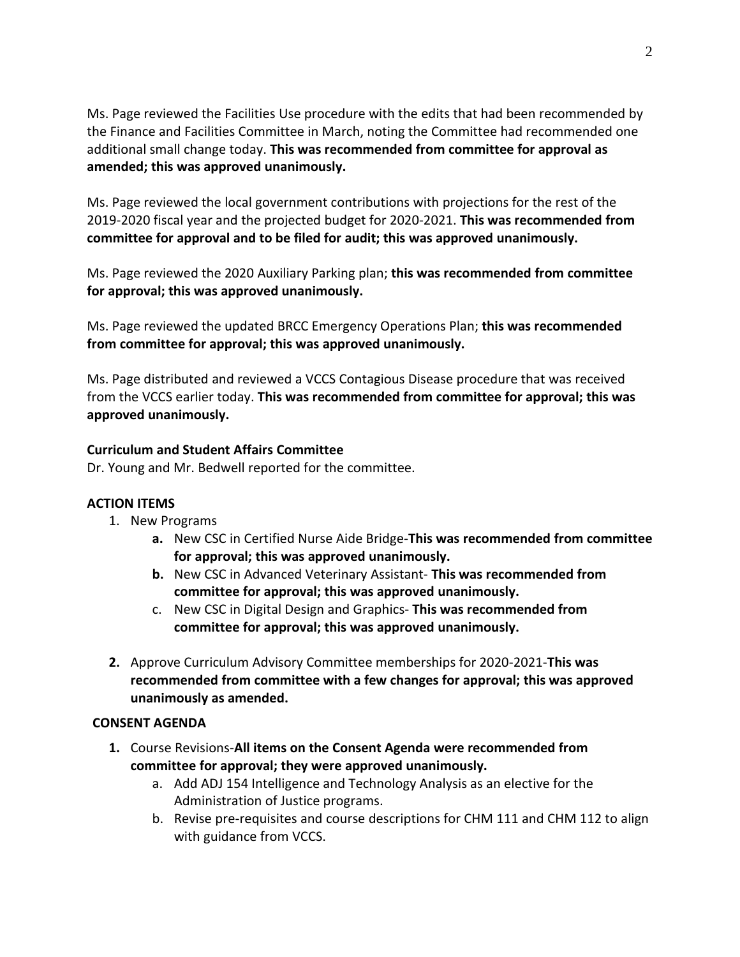Ms. Page reviewed the Facilities Use procedure with the edits that had been recommended by the Finance and Facilities Committee in March, noting the Committee had recommended one additional small change today. **This was recommended from committee for approval as amended; this was approved unanimously.**

Ms. Page reviewed the local government contributions with projections for the rest of the 2019-2020 fiscal year and the projected budget for 2020-2021. **This was recommended from committee for approval and to be filed for audit; this was approved unanimously.**

Ms. Page reviewed the 2020 Auxiliary Parking plan; **this was recommended from committee for approval; this was approved unanimously.**

Ms. Page reviewed the updated BRCC Emergency Operations Plan; **this was recommended from committee for approval; this was approved unanimously.**

Ms. Page distributed and reviewed a VCCS Contagious Disease procedure that was received from the VCCS earlier today. **This was recommended from committee for approval; this was approved unanimously.**

# **Curriculum and Student Affairs Committee**

Dr. Young and Mr. Bedwell reported for the committee.

# **ACTION ITEMS**

- 1. New Programs
	- **a.** New CSC in Certified Nurse Aide Bridge-**This was recommended from committee for approval; this was approved unanimously.**
	- **b.** New CSC in Advanced Veterinary Assistant- **This was recommended from committee for approval; this was approved unanimously.**
	- c. New CSC in Digital Design and Graphics- **This was recommended from committee for approval; this was approved unanimously.**
- **2.** Approve Curriculum Advisory Committee memberships for 2020-2021-**This was recommended from committee with a few changes for approval; this was approved unanimously as amended.**

# **CONSENT AGENDA**

- **1.** Course Revisions-**All items on the Consent Agenda were recommended from committee for approval; they were approved unanimously.**
	- a. Add ADJ 154 Intelligence and Technology Analysis as an elective for the Administration of Justice programs.
	- b. Revise pre-requisites and course descriptions for CHM 111 and CHM 112 to align with guidance from VCCS.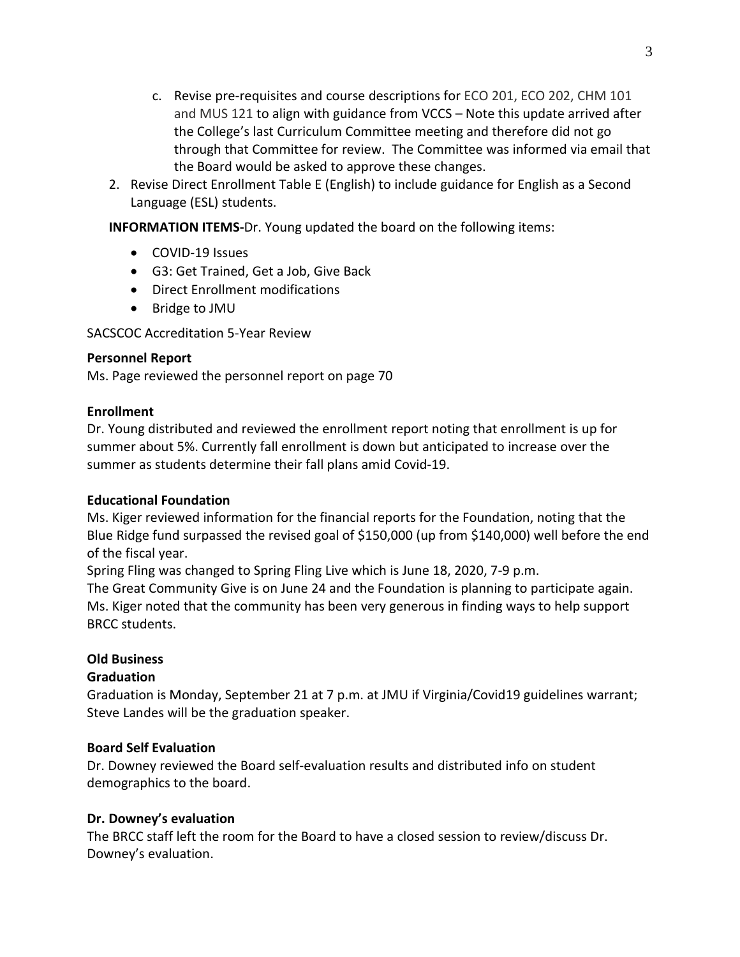- c. Revise pre-requisites and course descriptions for ECO 201, ECO 202, CHM 101 and MUS 121 to align with guidance from VCCS – Note this update arrived after the College's last Curriculum Committee meeting and therefore did not go through that Committee for review. The Committee was informed via email that the Board would be asked to approve these changes.
- 2. Revise Direct Enrollment Table E (English) to include guidance for English as a Second Language (ESL) students.

**INFORMATION ITEMS-**Dr. Young updated the board on the following items:

- COVID-19 Issues
- G3: Get Trained, Get a Job, Give Back
- Direct Enrollment modifications
- Bridge to JMU

SACSCOC Accreditation 5-Year Review

## **Personnel Report**

Ms. Page reviewed the personnel report on page 70

## **Enrollment**

Dr. Young distributed and reviewed the enrollment report noting that enrollment is up for summer about 5%. Currently fall enrollment is down but anticipated to increase over the summer as students determine their fall plans amid Covid-19.

### **Educational Foundation**

Ms. Kiger reviewed information for the financial reports for the Foundation, noting that the Blue Ridge fund surpassed the revised goal of \$150,000 (up from \$140,000) well before the end of the fiscal year.

Spring Fling was changed to Spring Fling Live which is June 18, 2020, 7-9 p.m. The Great Community Give is on June 24 and the Foundation is planning to participate again. Ms. Kiger noted that the community has been very generous in finding ways to help support BRCC students.

# **Old Business**

# **Graduation**

Graduation is Monday, September 21 at 7 p.m. at JMU if Virginia/Covid19 guidelines warrant; Steve Landes will be the graduation speaker.

### **Board Self Evaluation**

Dr. Downey reviewed the Board self-evaluation results and distributed info on student demographics to the board.

# **Dr. Downey's evaluation**

The BRCC staff left the room for the Board to have a closed session to review/discuss Dr. Downey's evaluation.